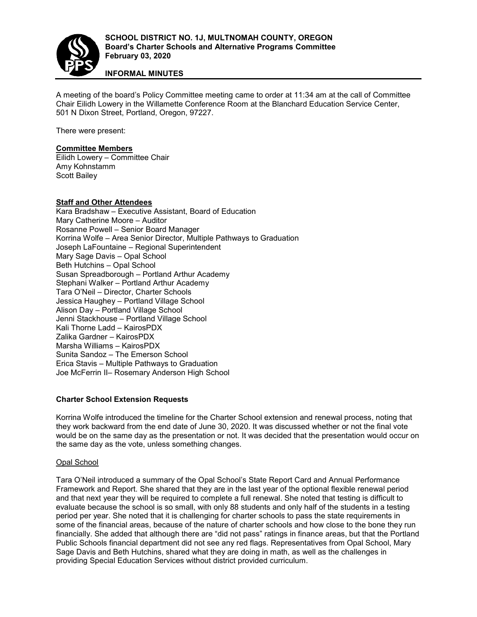

## **INFORMAL MINUTES**

A meeting of the board's Policy Committee meeting came to order at 11:34 am at the call of Committee Chair Eilidh Lowery in the Willamette Conference Room at the Blanchard Education Service Center, 501 N Dixon Street, Portland, Oregon, 97227.

There were present:

#### **Committee Members**

Eilidh Lowery – Committee Chair Amy Kohnstamm Scott Bailey

### **Staff and Other Attendees**

Kara Bradshaw – Executive Assistant, Board of Education Mary Catherine Moore – Auditor Rosanne Powell – Senior Board Manager Korrina Wolfe – Area Senior Director, Multiple Pathways to Graduation Joseph LaFountaine – Regional Superintendent Mary Sage Davis – Opal School Beth Hutchins – Opal School Susan Spreadborough – Portland Arthur Academy Stephani Walker – Portland Arthur Academy Tara O'Neil – Director, Charter Schools Jessica Haughey – Portland Village School Alison Day – Portland Village School Jenni Stackhouse – Portland Village School Kali Thorne Ladd – KairosPDX Zalika Gardner – KairosPDX Marsha Williams – KairosPDX Sunita Sandoz – The Emerson School Erica Stavis – Multiple Pathways to Graduation Joe McFerrin II– Rosemary Anderson High School

### **Charter School Extension Requests**

Korrina Wolfe introduced the timeline for the Charter School extension and renewal process, noting that they work backward from the end date of June 30, 2020. It was discussed whether or not the final vote would be on the same day as the presentation or not. It was decided that the presentation would occur on the same day as the vote, unless something changes.

### Opal School

Tara O'Neil introduced a summary of the Opal School's State Report Card and Annual Performance Framework and Report. She shared that they are in the last year of the optional flexible renewal period and that next year they will be required to complete a full renewal. She noted that testing is difficult to evaluate because the school is so small, with only 88 students and only half of the students in a testing period per year. She noted that it is challenging for charter schools to pass the state requirements in some of the financial areas, because of the nature of charter schools and how close to the bone they run financially. She added that although there are "did not pass" ratings in finance areas, but that the Portland Public Schools financial department did not see any red flags. Representatives from Opal School, Mary Sage Davis and Beth Hutchins, shared what they are doing in math, as well as the challenges in providing Special Education Services without district provided curriculum.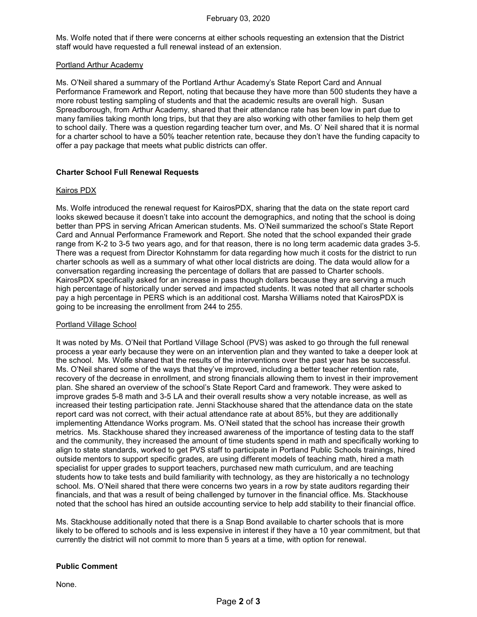Ms. Wolfe noted that if there were concerns at either schools requesting an extension that the District staff would have requested a full renewal instead of an extension.

#### Portland Arthur Academy

Ms. O'Neil shared a summary of the Portland Arthur Academy's State Report Card and Annual Performance Framework and Report, noting that because they have more than 500 students they have a more robust testing sampling of students and that the academic results are overall high. Susan Spreadborough, from Arthur Academy, shared that their attendance rate has been low in part due to many families taking month long trips, but that they are also working with other families to help them get to school daily. There was a question regarding teacher turn over, and Ms. O' Neil shared that it is normal for a charter school to have a 50% teacher retention rate, because they don't have the funding capacity to offer a pay package that meets what public districts can offer.

### **Charter School Full Renewal Requests**

### Kairos PDX

Ms. Wolfe introduced the renewal request for KairosPDX, sharing that the data on the state report card looks skewed because it doesn't take into account the demographics, and noting that the school is doing better than PPS in serving African American students. Ms. O'Neil summarized the school's State Report Card and Annual Performance Framework and Report. She noted that the school expanded their grade range from K-2 to 3-5 two years ago, and for that reason, there is no long term academic data grades 3-5. There was a request from Director Kohnstamm for data regarding how much it costs for the district to run charter schools as well as a summary of what other local districts are doing. The data would allow for a conversation regarding increasing the percentage of dollars that are passed to Charter schools. KairosPDX specifically asked for an increase in pass though dollars because they are serving a much high percentage of historically under served and impacted students. It was noted that all charter schools pay a high percentage in PERS which is an additional cost. Marsha Williams noted that KairosPDX is going to be increasing the enrollment from 244 to 255.

### Portland Village School

It was noted by Ms. O'Neil that Portland Village School (PVS) was asked to go through the full renewal process a year early because they were on an intervention plan and they wanted to take a deeper look at the school. Ms. Wolfe shared that the results of the interventions over the past year has be successful. Ms. O'Neil shared some of the ways that they've improved, including a better teacher retention rate, recovery of the decrease in enrollment, and strong financials allowing them to invest in their improvement plan. She shared an overview of the school's State Report Card and framework. They were asked to improve grades 5-8 math and 3-5 LA and their overall results show a very notable increase, as well as increased their testing participation rate. Jenni Stackhouse shared that the attendance data on the state report card was not correct, with their actual attendance rate at about 85%, but they are additionally implementing Attendance Works program. Ms. O'Neil stated that the school has increase their growth metrics. Ms. Stackhouse shared they increased awareness of the importance of testing data to the staff and the community, they increased the amount of time students spend in math and specifically working to align to state standards, worked to get PVS staff to participate in Portland Public Schools trainings, hired outside mentors to support specific grades, are using different models of teaching math, hired a math specialist for upper grades to support teachers, purchased new math curriculum, and are teaching students how to take tests and build familiarity with technology, as they are historically a no technology school. Ms. O'Neil shared that there were concerns two years in a row by state auditors regarding their financials, and that was a result of being challenged by turnover in the financial office. Ms. Stackhouse noted that the school has hired an outside accounting service to help add stability to their financial office.

Ms. Stackhouse additionally noted that there is a Snap Bond available to charter schools that is more likely to be offered to schools and is less expensive in interest if they have a 10 year commitment, but that currently the district will not commit to more than 5 years at a time, with option for renewal.

# **Public Comment**

None.